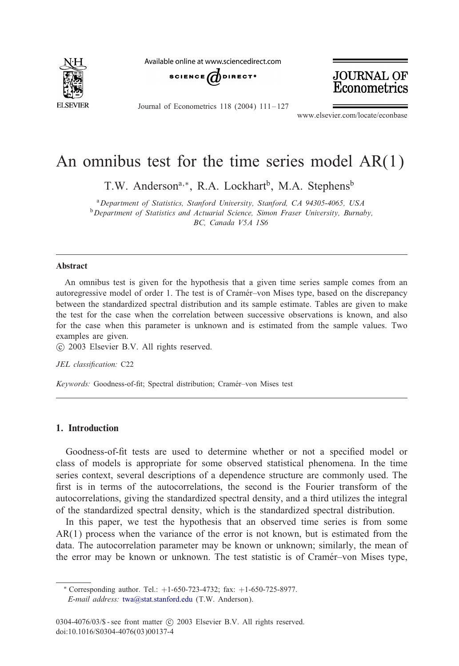

Available online at www sciencedirect com





Journal of Econometrics 118 (2004) 111 – 127

www.elsevier.com/locate/econbase

# An omnibus test for the time series model AR(1)

T.W. Anderson<sup>a,∗</sup>, R.A. Lockhart<sup>b</sup>, M.A. Stephens<sup>b</sup>

<sup>a</sup>*Department of Statistics, Stanford University, Stanford, CA 94305-4065, USA* <sup>b</sup>*Department of Statistics and Actuarial Science, Simon Fraser University, Burnaby, BC, Canada V5A 1S6*

#### Abstract

An omnibus test is given for the hypothesis that a given time series sample comes from an autoregressive model of order 1. The test is of Cramér–von Mises type, based on the discrepancy between the standardized spectral distribution and its sample estimate. Tables are given to make the test for the case when the correlation between successive observations is known, and also for the case when this parameter is unknown and is estimated from the sample values. Two examples are given.

c 2003 Elsevier B.V. All rights reserved.

JEL classification: C22

Keywords: Goodness-of-fit; Spectral distribution; Cramér-von Mises test

## 1. Introduction

Goodness-of-fit tests are used to determine whether or not a specified model or class of models is appropriate for some observed statistical phenomena. In the time series context, several descriptions of a dependence structure are commonly used. The first is in terms of the autocorrelations, the second is the Fourier transform of the autocorrelations, giving the standardized spectral density, and a third utilizes the integral of the standardized spectral density, which is the standardized spectral distribution.

In this paper, we test the hypothesis that an observed time series is from some  $AR(1)$  process [when the variance](mailto:twa@stat.stanford.edu) of the error is not known, but is estimated from the data. The autocorrelation parameter may be known or unknown; similarly, the mean of the error may be known or unknown. The test statistic is of Cramér–von Mises type,

<sup>∗</sup> Corresponding author. Tel.: +1-650-723-4732; fax: +1-650-725-8977. *E-mail address:* twa@stat.stanford.edu (T.W. Anderson).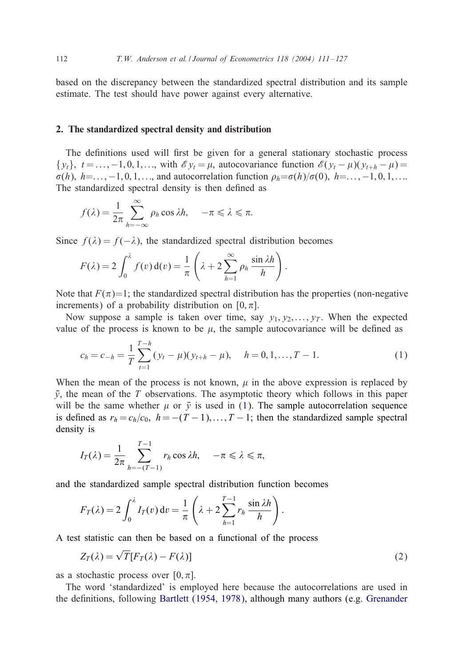<span id="page-1-0"></span>based on the discrepancy between the standardized spectral distribution and its sample estimate. The test should have power against every alternative.

## 2. The standardized spectral density and distribution

The definitions used will first be given for a general stationary stochastic process  $\{y_t\}, t = \ldots, -1, 0, 1, \ldots$ , with  $\mathscr{E} y_t = \mu$ , autocovariance function  $\mathscr{E}(y_t - \mu)(y_{t+h} - \mu) =$  $\sigma(h)$ ,  $h=\ldots,-1,0,1,\ldots$ , and autocorrelation function  $\rho_h=\sigma(h)/\sigma(0)$ ,  $h=\ldots,-1,0,1,\ldots$ The standardized spectral density is then defined as

$$
f(\lambda) = \frac{1}{2\pi} \sum_{h=-\infty}^{\infty} \rho_h \cos \lambda h, \quad -\pi \leq \lambda \leq \pi.
$$

Since  $f(\lambda) = f(-\lambda)$ , the standardized spectral distribution becomes

$$
F(\lambda) = 2 \int_0^{\lambda} f(v) d(v) = \frac{1}{\pi} \left( \lambda + 2 \sum_{h=1}^{\infty} \rho_h \frac{\sin \lambda h}{h} \right).
$$

Note that  $F(\pi)=1$ ; the standardized spectral distribution has the properties (non-negative increments) of a probability distribution on [0,  $\pi$ ].

Now suppose a sample is taken over time, say  $y_1, y_2, \ldots, y_T$ . When the expected value of the process is known to be  $\mu$ , the sample autocovariance will be defined as

$$
c_h = c_{-h} = \frac{1}{T} \sum_{t=1}^{T-h} (y_t - \mu)(y_{t+h} - \mu), \quad h = 0, 1, ..., T-1.
$$
 (1)

When the mean of the process is not known,  $\mu$  in the above expression is replaced by  $\bar{y}$ , the mean of the T observations. The asymptotic theory which follows in this paper will be the same whether  $\mu$  or  $\bar{y}$  is used in (1). The sample autocorrelation sequence is defined as  $r_h = c_h/c_0$ ,  $h = -(T - 1),...,T - 1$ ; then the standardized sample spectral density is

$$
I_T(\lambda) = \frac{1}{2\pi} \sum_{h=-(T-1)}^{T-1} r_h \cos \lambda h, \quad -\pi \leq \lambda \leq \pi,
$$

and the standardized sample spectral distribution function becomes

$$
F_T(\lambda) = 2 \int_0^{\lambda} I_T(v) dv = \frac{1}{\pi} \left( \lambda + 2 \sum_{h=1}^{T-1} r_h \frac{\sin \lambda h}{h} \right).
$$

A test statistic can then be based on a functional of the process

$$
Z_T(\lambda) = \sqrt{T} [F_T(\lambda) - F(\lambda)] \tag{2}
$$

as a stochastic process over  $[0, \pi]$ .

The word 'standardized' is employed here because the autocorrelations are used in the definitions, following Bartlett (1954, 1978), although many authors (e.g. Grenander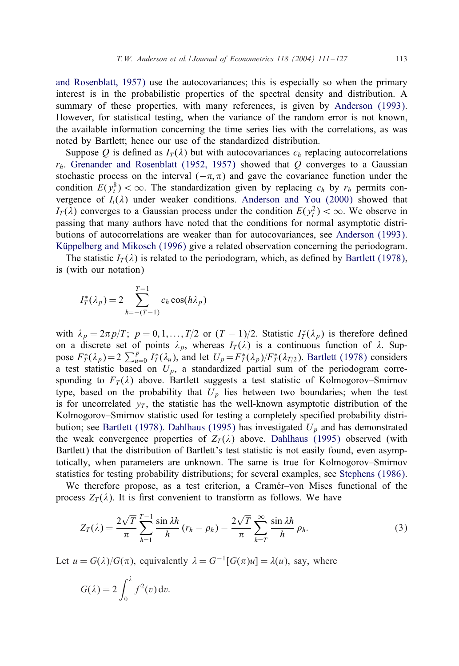and Rosenblatt, 1957) use the autocovariances; this is especially so when the primary interest is in the probabilistic properties of the spectral density and distribution. A su[mmary of these properties, with many re](#page-16-0)ferences, is given by Anderson (1993). However, for statistical testing, when the variance of the random error is not known, the available information concerning the time series lies with the correlations, as was noted by Bartlett; hence our use of the stand[ardized distribution.](#page-16-0)

Suppose Q is defined as  $I_T(\lambda)$  but with autocovariances  $c_h$  replacing autocorrelations  $r_h$ . Grenander and Rosenblatt (1952, 1957) showed that Q converges to a Gaussian stochastic process on the interval  $(-\pi, \pi)$  and gave the covariance [function under the](#page-16-0) condition  $E(y_t^8) < \infty$ [. The stand](#page-16-0)ardization given by replacing  $c_h$  by  $r_h$  permits convergence of  $I_t(\lambda)$  under weaker conditions. Anderson and You (2000) showed that  $I_T(\lambda)$  converges to a Gaussian process under the condition  $E(y_t^2) < \infty$ . We observe in passing that many authors have noted that the conditions for normal asymptotic distributions of autocorrelations are weaker than for autocovariances, see Anderson (1993). Küppelberg and Mikosch (1996) give a related observation concerning the periodogram.

The statistic  $I_T(\lambda)$  is related to the periodogram, which, as defined by Bartlett (1978), is (with our notation)

$$
I_T^*(\lambda_p) = 2 \sum_{h=-(T-1)}^{T-1} c_h \cos(h\lambda_p)
$$

with  $\lambda_p = 2\pi p/T$ ;  $p = 0, 1, ..., T/2$  or  $(T - 1)/2$ . Statistic  $I_T^*(\lambda_p)$  is therefore defined on a discrete set of points  $\lambda_p$ , whereas  $I_T(\lambda)$  is a continuous function of  $\lambda$ . Suppose  $F_T^*(\lambda_p) = 2 \sum_{u=0}^p I_T^*(\lambda_u)$ , and let  $U_p = F_T^*(\lambda_p)/F_T^*(\lambda_{T/2})$ . Bartlett (1978) considers a test statistic based on  $U_p$ [, a standardize](#page-16-0)d partial sum of the periodogram corresponding to  $F_T(\lambda)$  above. Bartlett suggests a test [statistic of Kolm](#page-16-0)ogorov–Smirnov type, based on the probability that  $U_p$  lies between two boundaries; when the test is for uncorrelated  $y_T$ , the statistic has the well-known asymptotic distribution of the Kolmogorov–Smirnov statistic used for testing a completely specified [probability distri](#page-16-0)bution; see Bartlett (1978). Dahlhaus (1995) has investigated  $U_p$  and has demonstrated the weak convergence properties of  $Z_T(\lambda)$  above. Dahlhaus (1995) observed (with Bartlett) that the distribution of Bartlett's test statistic is not easily found, even asymptotically, when parameters are unknown. The same is true for Kolmogorov–Smirnov statistics for testing probability distributions; for several examples, see Stephens (1986).

We therefore propose, as a test criterion, a Cramér–von Mises functional of the process  $Z_T(\lambda)$ . It is first convenient to transform as follows. We have

$$
Z_T(\lambda) = \frac{2\sqrt{T}}{\pi} \sum_{h=1}^{T-1} \frac{\sin \lambda h}{h} (r_h - \rho_h) - \frac{2\sqrt{T}}{\pi} \sum_{h=T}^{\infty} \frac{\sin \lambda h}{h} \rho_h.
$$
 (3)

Let  $u = G(\lambda)/G(\pi)$ , equivalently  $\lambda = G^{-1}[G(\pi)u] = \lambda(u)$ , say, where

$$
G(\lambda) = 2 \int_0^{\lambda} f^2(v) \, \mathrm{d}v.
$$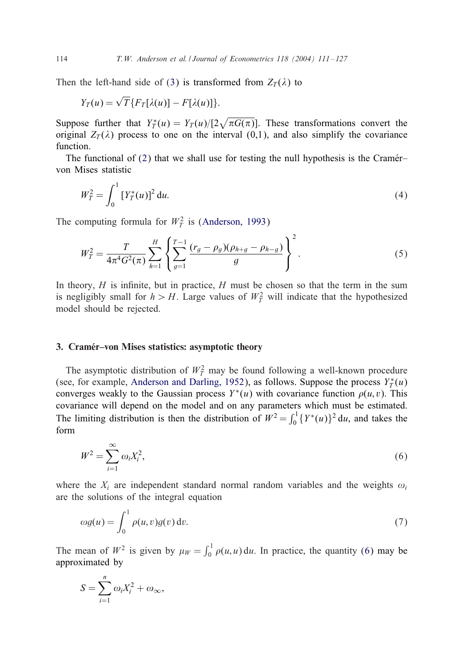<span id="page-3-0"></span>Then the left-hand side of (3) is transformed from  $Z_T(\lambda)$  to

$$
Y_T(u) = \sqrt{T} \{ F_T[\lambda(u)] - F[\lambda(u)] \}.
$$

Suppose further that  $Y_T^*(u) = Y_T(u)/[2\sqrt{\pi G(\pi)}]$ . These transformations convert the original  $Z_T(\lambda)$  process to one on the interval (0,1), and also simplify the covariance function.

The functional of  $(2)$  that we sha[ll use for testing](#page-16-0) the null hypothesis is the Cramér– von Mises statistic

$$
W_T^2 = \int_0^1 \left[ Y_T^*(u) \right]^2 \mathrm{d}u. \tag{4}
$$

The computing formula for  $W_T^2$  is (Anderson, 1993)

$$
W_T^2 = \frac{T}{4\pi^4 G^2(\pi)} \sum_{h=1}^H \left\{ \sum_{g=1}^{T-1} \frac{(r_g - \rho_g)(\rho_{h+g} - \rho_{h-g})}{g} \right\}^2.
$$
 (5)

In theory,  $H$  is infinite, but in practice,  $H$  must be chosen so that the term in the sum is negligibly small for  $h > H$ . Large values of  $W_T^2$  will indicate that the hypothesized model should be rejected.

#### 3. Cramer–von Mises statistics: asymptotic theory

The asymptotic distribution of  $W_T^2$  may be found following a well-known procedure (see, for example, Anderson and Darling, 1952), as follows. Suppose the process  $Y_T^*(u)$ converges weakly to the Gaussian process  $Y^*(u)$  with covariance function  $\rho(u, v)$ . This covariance will depend on the model and on any parameters which must be estimated. The limiting distribution is then the distribution of  $W^2 = \int_0^1 \{Y^*(u)\}^2 du$ , and takes the form

$$
W^2 = \sum_{i=1}^{\infty} \omega_i X_i^2,\tag{6}
$$

where the  $X_i$  are independent standard normal random variables and the weights  $\omega_i$ are the solutions of the integral equation

$$
\omega g(u) = \int_0^1 \rho(u, v) g(v) \, \mathrm{d}v. \tag{7}
$$

The mean of  $W^2$  is given by  $\mu_W = \int_0^1 \rho(u, u) du$ . In practice, the quantity (6) may be approximated by

$$
S = \sum_{i=1}^{n} \omega_i X_i^2 + \omega_{\infty},
$$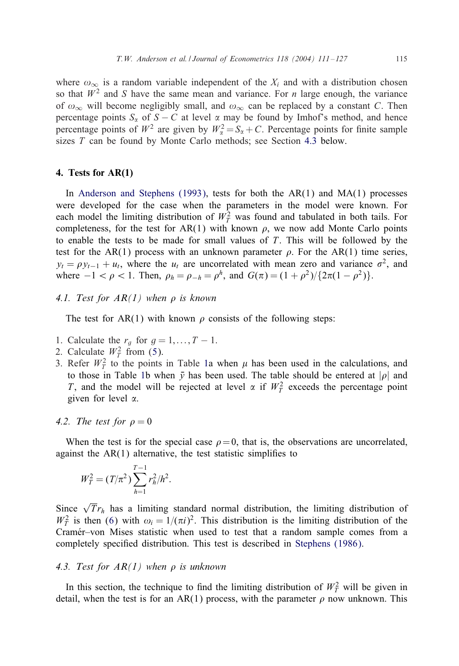<span id="page-4-0"></span>where  $\omega_{\infty}$  is a random variable independent of the  $X_i$  and with a distribution chosen so that  $W^2$  and S have the same mean and variance. For *n* large enough, the variance of  $\omega_{\infty}$  will become negligibly small, and  $\omega_{\infty}$  can be replaced by a constant C. Then percentage points  $S_{\alpha}$  of  $S - C$  at level  $\alpha$  may be found by Imhof's method, and hence perce[ntage points of](#page-16-0)  $W^2$  are given by  $W^2_\alpha = S_\alpha + C$ . Percentage points for finite sample sizes  $T$  can be found by Monte Carlo methods; see Section 4.3 below.

#### 4. Tests for AR(1)

In Anderson and Stephens (1993), tests for both the  $AR(1)$  and  $MA(1)$  processes were developed for the case when the parameters in the model were known. For each model the limiting distribution of  $W_T^2$  was found and tabulated in both tails. For completeness, for the test for AR(1) with known  $\rho$ , we now add Monte Carlo points to enable the tests to be made for small values of  $T$ . This will be followed by the test for the AR(1) process with an unknown parameter  $\rho$ . For the AR(1) time series,  $y_t = \rho y_{t-1} + u_t$ , where the  $u_t$  are uncorrelated with mean zero and variance  $\sigma^2$ , and where  $-1 < \rho < 1$ . Then,  $\rho_h = \rho_{-h} = \rho^h$ , and  $G(\pi) = (1 + \rho^2)/\{2\pi(1 - \rho^2)\}.$ 

4.1. Test for  $AR(1)$  [whe](#page-3-0)n  $\rho$  is kn[ow](#page-5-0)n

The test for AR([1\)](#page-5-0) with known  $\rho$  consists of the following steps:

- 1. Calculate the  $r_g$  for  $g = 1, \ldots, T 1$ .
- 2. Calculate  $W_T^2$  from (5).
- 3. Refer  $W_T^2$  to the points in Table 1a when  $\mu$  has been used in the calculations, and to those in Table 1b when  $\bar{y}$  has been used. The table should be entered at | $\rho$ | and T, and the model will be rejected at level  $\alpha$  if  $W_T^2$  exceeds the percentage point given for level  $\alpha$ .

## 4.2. The test for  $\rho = 0$

When the test is for the special case  $\rho = 0$ , that is, the observations are uncorrelated, against the  $AR(1)$  $AR(1)$  alternative, the test statistic simplifies to

$$
W_T^2 = (T/\pi^2) \sum_{h=1}^{T-1} r_h^2 / h^2.
$$

Since  $\sqrt{T}r_h$  has a limiting standard normal distribution, the limiting distribution of  $W_T^2$  is then (6) with  $\omega_i = 1/(\pi i)^2$ . This distribution is the limiting distribution of the Cramér–von Mises statistic when used to test that a random sample comes from a completely specified distribution. This test is described in Stephens (1986).

#### 4.3. Test for  $AR(1)$  when  $\rho$  is unknown

In this section, the technique to find the limiting distribution of  $W_T^2$  will be given in detail, when the test is for an AR(1) process, with the parameter  $\rho$  now unknown. This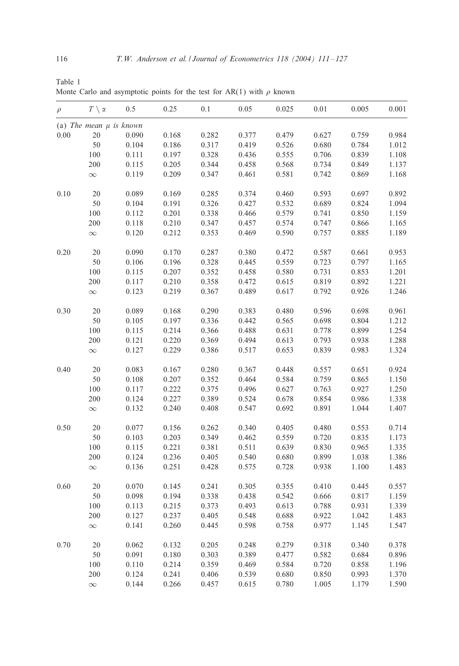<span id="page-5-0"></span>

| Table 1 |  |                                                                            |  |  |  |  |  |
|---------|--|----------------------------------------------------------------------------|--|--|--|--|--|
|         |  | Monte Carlo and asymptotic points for the test for AR(1) with $\rho$ known |  |  |  |  |  |

| $\rho$ | $T \setminus \alpha$        | 0.5   | 0.25  | 0.1   | 0.05  | 0.025 | 0.01  | 0.005 | 0.001 |
|--------|-----------------------------|-------|-------|-------|-------|-------|-------|-------|-------|
|        | (a) The mean $\mu$ is known |       |       |       |       |       |       |       |       |
| 0.00   | 20                          | 0.090 | 0.168 | 0.282 | 0.377 | 0.479 | 0.627 | 0.759 | 0.984 |
|        | 50                          | 0.104 | 0.186 | 0.317 | 0.419 | 0.526 | 0.680 | 0.784 | 1.012 |
|        | 100                         | 0.111 | 0.197 | 0.328 | 0.436 | 0.555 | 0.706 | 0.839 | 1.108 |
|        | 200                         | 0.115 | 0.205 | 0.344 | 0.458 | 0.568 | 0.734 | 0.849 | 1.137 |
|        | $\infty$                    | 0.119 | 0.209 | 0.347 | 0.461 | 0.581 | 0.742 | 0.869 | 1.168 |
| 0.10   | 20                          | 0.089 | 0.169 | 0.285 | 0.374 | 0.460 | 0.593 | 0.697 | 0.892 |
|        | 50                          | 0.104 | 0.191 | 0.326 | 0.427 | 0.532 | 0.689 | 0.824 | 1.094 |
|        | 100                         | 0.112 | 0.201 | 0.338 | 0.466 | 0.579 | 0.741 | 0.850 | 1.159 |
|        | 200                         | 0.118 | 0.210 | 0.347 | 0.457 | 0.574 | 0.747 | 0.866 | 1.165 |
|        | $\infty$                    | 0.120 | 0.212 | 0.353 | 0.469 | 0.590 | 0.757 | 0.885 | 1.189 |
| 0.20   | 20                          | 0.090 | 0.170 | 0.287 | 0.380 | 0.472 | 0.587 | 0.661 | 0.953 |
|        | 50                          | 0.106 | 0.196 | 0.328 | 0.445 | 0.559 | 0.723 | 0.797 | 1.165 |
|        | 100                         | 0.115 | 0.207 | 0.352 | 0.458 | 0.580 | 0.731 | 0.853 | 1.201 |
|        | 200                         | 0.117 | 0.210 | 0.358 | 0.472 | 0.615 | 0.819 | 0.892 | 1.221 |
|        | $\infty$                    | 0.123 | 0.219 | 0.367 | 0.489 | 0.617 | 0.792 | 0.926 | 1.246 |
| 0.30   | 20                          | 0.089 | 0.168 | 0.290 | 0.383 | 0.480 | 0.596 | 0.698 | 0.961 |
|        | 50                          | 0.105 | 0.197 | 0.336 | 0.442 | 0.565 | 0.698 | 0.804 | 1.212 |
|        | 100                         | 0.115 | 0.214 | 0.366 | 0.488 | 0.631 | 0.778 | 0.899 | 1.254 |
|        | 200                         | 0.121 | 0.220 | 0.369 | 0.494 | 0.613 | 0.793 | 0.938 | 1.288 |
|        | $\infty$                    | 0.127 | 0.229 | 0.386 | 0.517 | 0.653 | 0.839 | 0.983 | 1.324 |
| 0.40   | 20                          | 0.083 | 0.167 | 0.280 | 0.367 | 0.448 | 0.557 | 0.651 | 0.924 |
|        | 50                          | 0.108 | 0.207 | 0.352 | 0.464 | 0.584 | 0.759 | 0.865 | 1.150 |
|        | 100                         | 0.117 | 0.222 | 0.375 | 0.496 | 0.627 | 0.763 | 0.927 | 1.250 |
|        | 200                         | 0.124 | 0.227 | 0.389 | 0.524 | 0.678 | 0.854 | 0.986 | 1.338 |
|        | $\infty$                    | 0.132 | 0.240 | 0.408 | 0.547 | 0.692 | 0.891 | 1.044 | 1.407 |
| 0.50   | 20                          | 0.077 | 0.156 | 0.262 | 0.340 | 0.405 | 0.480 | 0.553 | 0.714 |
|        | 50                          | 0.103 | 0.203 | 0.349 | 0.462 | 0.559 | 0.720 | 0.835 | 1.173 |
|        | 100                         | 0.115 | 0.221 | 0.381 | 0.511 | 0.639 | 0.830 | 0.965 | 1.335 |
|        | 200                         | 0.124 | 0.236 | 0.405 | 0.540 | 0.680 | 0.899 | 1.038 | 1.386 |
|        | $\infty$                    | 0.136 | 0.251 | 0.428 | 0.575 | 0.728 | 0.938 | 1.100 | 1.483 |
| 0.60   | 20                          | 0.070 | 0.145 | 0.241 | 0.305 | 0.355 | 0.410 | 0.445 | 0.557 |
|        | 50                          | 0.098 | 0.194 | 0.338 | 0.438 | 0.542 | 0.666 | 0.817 | 1.159 |
|        | 100                         | 0.113 | 0.215 | 0.373 | 0.493 | 0.613 | 0.788 | 0.931 | 1.339 |
|        | 200                         | 0.127 | 0.237 | 0.405 | 0.548 | 0.688 | 0.922 | 1.042 | 1.483 |
|        | $\infty$                    | 0.141 | 0.260 | 0.445 | 0.598 | 0.758 | 0.977 | 1.145 | 1.547 |
| 0.70   | 20                          | 0.062 | 0.132 | 0.205 | 0.248 | 0.279 | 0.318 | 0.340 | 0.378 |
|        | 50                          | 0.091 | 0.180 | 0.303 | 0.389 | 0.477 | 0.582 | 0.684 | 0.896 |
|        | 100                         | 0.110 | 0.214 | 0.359 | 0.469 | 0.584 | 0.720 | 0.858 | 1.196 |
|        | 200                         | 0.124 | 0.241 | 0.406 | 0.539 | 0.680 | 0.850 | 0.993 | 1.370 |
|        | $\infty$                    | 0.144 | 0.266 | 0.457 | 0.615 | 0.780 | 1.005 | 1.179 | 1.590 |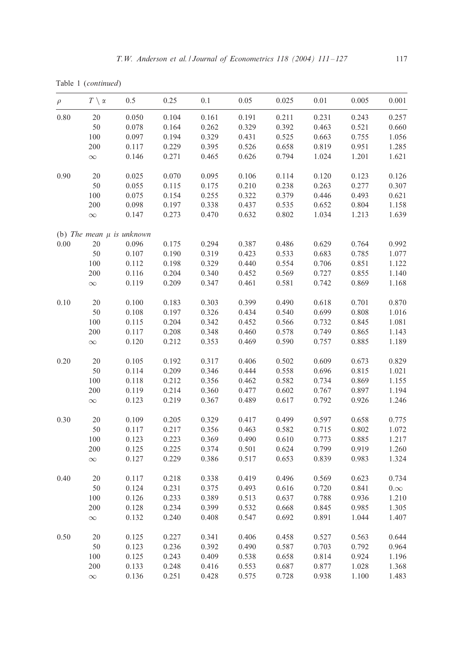Table 1 (*continued*)

| $\rho$ | $T \setminus \alpha$ | 0.5                           | 0.25  | 0.1   | 0.05  | 0.025 | 0.01  | 0.005 | 0.001      |
|--------|----------------------|-------------------------------|-------|-------|-------|-------|-------|-------|------------|
| 0.80   | 20                   | 0.050                         | 0.104 | 0.161 | 0.191 | 0.211 | 0.231 | 0.243 | 0.257      |
|        | 50                   | 0.078                         | 0.164 | 0.262 | 0.329 | 0.392 | 0.463 | 0.521 | 0.660      |
|        | 100                  | 0.097                         | 0.194 | 0.329 | 0.431 | 0.525 | 0.663 | 0.755 | 1.056      |
|        | 200                  | 0.117                         | 0.229 | 0.395 | 0.526 | 0.658 | 0.819 | 0.951 | 1.285      |
|        | $\infty$             | 0.146                         | 0.271 | 0.465 | 0.626 | 0.794 | 1.024 | 1.201 | 1.621      |
| 0.90   | 20                   | 0.025                         | 0.070 | 0.095 | 0.106 | 0.114 | 0.120 | 0.123 | 0.126      |
|        | 50                   | 0.055                         | 0.115 | 0.175 | 0.210 | 0.238 | 0.263 | 0.277 | 0.307      |
|        | 100                  | 0.075                         | 0.154 | 0.255 | 0.322 | 0.379 | 0.446 | 0.493 | 0.621      |
|        | 200                  | 0.098                         | 0.197 | 0.338 | 0.437 | 0.535 | 0.652 | 0.804 | 1.158      |
|        | $\infty$             | 0.147                         | 0.273 | 0.470 | 0.632 | 0.802 | 1.034 | 1.213 | 1.639      |
|        |                      | (b) The mean $\mu$ is unknown |       |       |       |       |       |       |            |
| 0.00   | 20                   | 0.096                         | 0.175 | 0.294 | 0.387 | 0.486 | 0.629 | 0.764 | 0.992      |
|        | 50                   | 0.107                         | 0.190 | 0.319 | 0.423 | 0.533 | 0.683 | 0.785 | 1.077      |
|        | 100                  | 0.112                         | 0.198 | 0.329 | 0.440 | 0.554 | 0.706 | 0.851 | 1.122      |
|        | 200                  | 0.116                         | 0.204 | 0.340 | 0.452 | 0.569 | 0.727 | 0.855 | 1.140      |
|        | $\infty$             | 0.119                         | 0.209 | 0.347 | 0.461 | 0.581 | 0.742 | 0.869 | 1.168      |
| 0.10   | 20                   | 0.100                         | 0.183 | 0.303 | 0.399 | 0.490 | 0.618 | 0.701 | 0.870      |
|        | 50                   | 0.108                         | 0.197 | 0.326 | 0.434 | 0.540 | 0.699 | 0.808 | 1.016      |
|        | 100                  | 0.115                         | 0.204 | 0.342 | 0.452 | 0.566 | 0.732 | 0.845 | 1.081      |
|        | 200                  | 0.117                         | 0.208 | 0.348 | 0.460 | 0.578 | 0.749 | 0.865 | 1.143      |
|        | $\infty$             | 0.120                         | 0.212 | 0.353 | 0.469 | 0.590 | 0.757 | 0.885 | 1.189      |
| 0.20   | 20                   | 0.105                         | 0.192 | 0.317 | 0.406 | 0.502 | 0.609 | 0.673 | 0.829      |
|        | 50                   | 0.114                         | 0.209 | 0.346 | 0.444 | 0.558 | 0.696 | 0.815 | 1.021      |
|        | 100                  | 0.118                         | 0.212 | 0.356 | 0.462 | 0.582 | 0.734 | 0.869 | 1.155      |
|        | 200                  | 0.119                         | 0.214 | 0.360 | 0.477 | 0.602 | 0.767 | 0.897 | 1.194      |
|        | $\infty$             | 0.123                         | 0.219 | 0.367 | 0.489 | 0.617 | 0.792 | 0.926 | 1.246      |
| 0.30   | 20                   | 0.109                         | 0.205 | 0.329 | 0.417 | 0.499 | 0.597 | 0.658 | 0.775      |
|        | 50                   | 0.117                         | 0.217 | 0.356 | 0.463 | 0.582 | 0.715 | 0.802 | 1.072      |
|        | 100                  | 0.123                         | 0.223 | 0.369 | 0.490 | 0.610 | 0.773 | 0.885 | 1.217      |
|        | 200                  | 0.125                         | 0.225 | 0.374 | 0.501 | 0.624 | 0.799 | 0.919 | 1.260      |
|        | $\infty$             | 0.127                         | 0.229 | 0.386 | 0.517 | 0.653 | 0.839 | 0.983 | 1.324      |
| 0.40   | 20                   | 0.117                         | 0.218 | 0.338 | 0.419 | 0.496 | 0.569 | 0.623 | 0.734      |
|        | 50                   | 0.124                         | 0.231 | 0.375 | 0.493 | 0.616 | 0.720 | 0.841 | $0.\infty$ |
|        | 100                  | 0.126                         | 0.233 | 0.389 | 0.513 | 0.637 | 0.788 | 0.936 | 1.210      |
|        | 200                  | 0.128                         | 0.234 | 0.399 | 0.532 | 0.668 | 0.845 | 0.985 | 1.305      |
|        | $\infty$             | 0.132                         | 0.240 | 0.408 | 0.547 | 0.692 | 0.891 | 1.044 | 1.407      |
| 0.50   | 20                   | 0.125                         | 0.227 | 0.341 | 0.406 | 0.458 | 0.527 | 0.563 | 0.644      |
|        | 50                   | 0.123                         | 0.236 | 0.392 | 0.490 | 0.587 | 0.703 | 0.792 | 0.964      |
|        | 100                  | 0.125                         | 0.243 | 0.409 | 0.538 | 0.658 | 0.814 | 0.924 | 1.196      |
|        | 200                  | 0.133                         | 0.248 | 0.416 | 0.553 | 0.687 | 0.877 | 1.028 | 1.368      |
|        | $\infty$             | 0.136                         | 0.251 | 0.428 | 0.575 | 0.728 | 0.938 | 1.100 | 1.483      |
|        |                      |                               |       |       |       |       |       |       |            |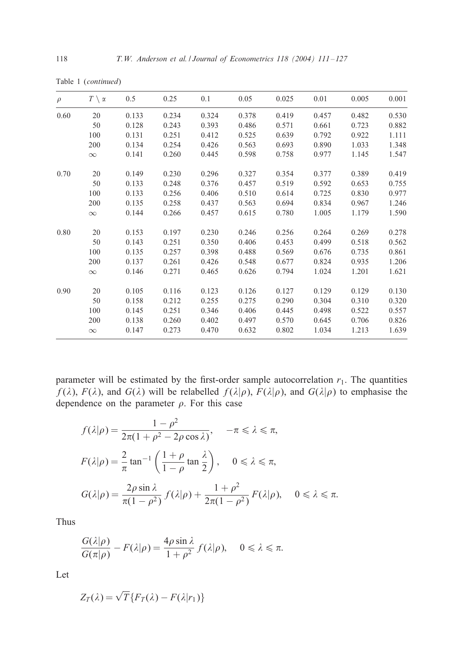| $\rho$ | $T \setminus \alpha$ | 0.5   | 0.25  | 0.1   | 0.05  | 0.025 | 0.01  | 0.005 | 0.001 |
|--------|----------------------|-------|-------|-------|-------|-------|-------|-------|-------|
| 0.60   | 20                   | 0.133 | 0.234 | 0.324 | 0.378 | 0.419 | 0.457 | 0.482 | 0.530 |
|        | 50                   | 0.128 | 0.243 | 0.393 | 0.486 | 0.571 | 0.661 | 0.723 | 0.882 |
|        | 100                  | 0.131 | 0.251 | 0.412 | 0.525 | 0.639 | 0.792 | 0.922 | 1.111 |
|        | 200                  | 0.134 | 0.254 | 0.426 | 0.563 | 0.693 | 0.890 | 1.033 | 1.348 |
|        | $\infty$             | 0.141 | 0.260 | 0.445 | 0.598 | 0.758 | 0.977 | 1.145 | 1.547 |
| 0.70   | 20                   | 0.149 | 0.230 | 0.296 | 0.327 | 0.354 | 0.377 | 0.389 | 0.419 |
|        | 50                   | 0.133 | 0.248 | 0.376 | 0.457 | 0.519 | 0.592 | 0.653 | 0.755 |
|        | 100                  | 0.133 | 0.256 | 0.406 | 0.510 | 0.614 | 0.725 | 0.830 | 0.977 |
|        | 200                  | 0.135 | 0.258 | 0.437 | 0.563 | 0.694 | 0.834 | 0.967 | 1.246 |
|        | $\infty$             | 0.144 | 0.266 | 0.457 | 0.615 | 0.780 | 1.005 | 1.179 | 1.590 |
| 0.80   | 20                   | 0.153 | 0.197 | 0.230 | 0.246 | 0.256 | 0.264 | 0.269 | 0.278 |
|        | 50                   | 0.143 | 0.251 | 0.350 | 0.406 | 0.453 | 0.499 | 0.518 | 0.562 |
|        | 100                  | 0.135 | 0.257 | 0.398 | 0.488 | 0.569 | 0.676 | 0.735 | 0.861 |
|        | 200                  | 0.137 | 0.261 | 0.426 | 0.548 | 0.677 | 0.824 | 0.935 | 1.206 |
|        | $\infty$             | 0.146 | 0.271 | 0.465 | 0.626 | 0.794 | 1.024 | 1.201 | 1.621 |
| 0.90   | 20                   | 0.105 | 0.116 | 0.123 | 0.126 | 0.127 | 0.129 | 0.129 | 0.130 |
|        | 50                   | 0.158 | 0.212 | 0.255 | 0.275 | 0.290 | 0.304 | 0.310 | 0.320 |
|        | 100                  | 0.145 | 0.251 | 0.346 | 0.406 | 0.445 | 0.498 | 0.522 | 0.557 |
|        | 200                  | 0.138 | 0.260 | 0.402 | 0.497 | 0.570 | 0.645 | 0.706 | 0.826 |
|        | $\infty$             | 0.147 | 0.273 | 0.470 | 0.632 | 0.802 | 1.034 | 1.213 | 1.639 |

Table 1 (*continued*)

parameter will be estimated by the first-order sample autocorrelation  $r_1$ . The quantities  $f(\lambda)$ ,  $F(\lambda)$ , and  $G(\lambda)$  will be relabelled  $f(\lambda|\rho)$ ,  $F(\lambda|\rho)$ , and  $G(\lambda|\rho)$  to emphasise the dependence on the parameter  $\rho$ . For this case

$$
f(\lambda|\rho) = \frac{1 - \rho^2}{2\pi(1 + \rho^2 - 2\rho \cos \lambda)}, \quad -\pi \le \lambda \le \pi,
$$
  

$$
F(\lambda|\rho) = \frac{2}{\pi} \tan^{-1} \left( \frac{1 + \rho}{1 - \rho} \tan \frac{\lambda}{2} \right), \quad 0 \le \lambda \le \pi,
$$
  

$$
G(\lambda|\rho) = \frac{2\rho \sin \lambda}{\pi(1 - \rho^2)} f(\lambda|\rho) + \frac{1 + \rho^2}{2\pi(1 - \rho^2)} F(\lambda|\rho), \quad 0 \le \lambda \le \pi.
$$

Thus

$$
\frac{G(\lambda|\rho)}{G(\pi|\rho)} - F(\lambda|\rho) = \frac{4\rho \sin \lambda}{1+\rho^2} f(\lambda|\rho), \quad 0 \le \lambda \le \pi.
$$

Let

$$
Z_T(\lambda) = \sqrt{T} \{ F_T(\lambda) - F(\lambda | r_1) \}
$$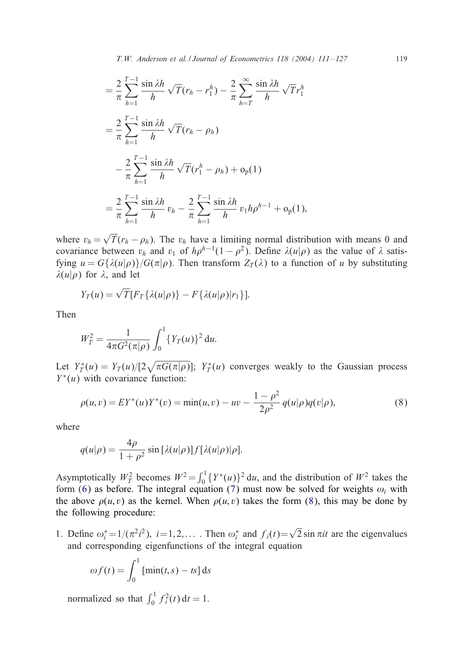*T.W. Anderson et al. / Journal of Econometrics 118 (2004) 111 – 127* 119

$$
= \frac{2}{\pi} \sum_{h=1}^{T-1} \frac{\sin \lambda h}{h} \sqrt{T} (r_h - r_1^h) - \frac{2}{\pi} \sum_{h=T}^{\infty} \frac{\sin \lambda h}{h} \sqrt{T} r_1^h
$$
  

$$
= \frac{2}{\pi} \sum_{h=1}^{T-1} \frac{\sin \lambda h}{h} \sqrt{T} (r_h - \rho_h)
$$
  

$$
- \frac{2}{\pi} \sum_{h=1}^{T-1} \frac{\sin \lambda h}{h} \sqrt{T} (r_1^h - \rho_h) + o_p(1)
$$
  

$$
= \frac{2}{\pi} \sum_{h=1}^{T-1} \frac{\sin \lambda h}{h} v_h - \frac{2}{\pi} \sum_{h=1}^{T-1} \frac{\sin \lambda h}{h} v_1 h \rho^{h-1} + o_p(1),
$$

where  $v_h = \sqrt{T}(r_h - \rho_h)$ . The  $v_h$  have a limiting normal distribution with means 0 and covariance between  $v_h$  and  $v_1$  of  $h\rho^{h-1}(1-\rho^2)$ . Define  $\lambda(u|\rho)$  as the value of  $\lambda$  satisfying  $u = G\{\lambda(u|\rho)\}/G(\pi|\rho)$ . Then transform  $Z_{\tau}(\lambda)$  to a function of u by substituting  $\lambda(u|\rho)$  for  $\lambda$ , and let

$$
Y_T(u) = \sqrt{T} [F_T\{\lambda(u|\rho)\} - F\{\lambda(u|\rho)|r_1\}].
$$

Then

$$
W_T^2 = \frac{1}{4\pi G^2(\pi|\rho)} \int_0^1 \{Y_T(u)\}^2 du.
$$

Let  $Y_T^*(u) = Y_T(u)/[2\sqrt{\pi G(\pi|\rho)}]; Y_T^*(u)$  converges weakly to the Gaussian process  $Y^*(u)$  with covariance function:

$$
\rho(u,v) = EY^*(u)Y^*(v) = \min(u,v) - uv - \frac{1-\rho^2}{2\rho^2} q(u|\rho)q(v|\rho),
$$
\n(8)

where

$$
q(u|\rho) = \frac{4\rho}{1+\rho^2} \sin[\lambda(u|\rho)]f[\lambda(u|\rho)|\rho].
$$

Asymptotically  $W_T^2$  becomes  $W^2 = \int_0^1 \{Y^*(u)\}^2 du$ , and the distribution of  $W^2$  takes the form (6) as before. The integral equation (7) must now be solved for weights  $\omega_i$  with the above  $\rho(u, v)$  as the kernel. When  $\rho(u, v)$  takes the form (8), this may be done by the following procedure:

1. Define  $\omega_i^* = 1/(\pi^2 i^2)$ ,  $i = 1, 2, ...$  Then  $\omega_i^*$  and  $f_i(t) = \sqrt{2} \sin \pi i t$  are the eigenvalues and corresponding eigenfunctions of the integral equation

$$
\omega f(t) = \int_0^1 \left[ \min(t, s) - t s \right] ds
$$

normalized so that  $\int_0^1 f_i^2(t) dt = 1$ .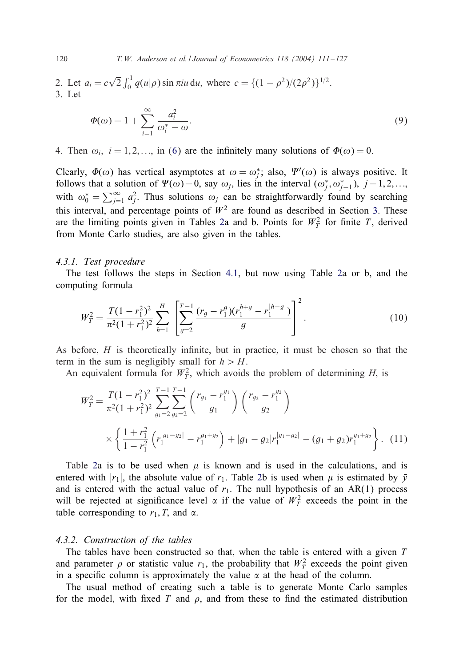120 *T.W. Anderson et al. / Journal of Econometrics 118 (2004) 111 – 127*

2. Let  $a_i = c \sqrt{ }$  $\overline{2} \int_0^1 q(u|\rho) \sin \pi i u \, du$ , where  $c = \{(1 - \rho^2)/(2\rho^2)\}^{1/2}$ . 3. Let

$$
\Phi(\omega) = 1 + \sum_{i=1}^{\infty} \frac{a_i^2}{\omega_i^* - \omega}.
$$
\n(9)

4[.](#page-3-0) Then  $\omega_i$ ,  $i = 1, 2,...$ , in (6) are the infinitely many solutions of  $\Phi(\omega) = 0$ .

Clearly,  $\Phi(\omega)$  has vertical asymptotes at  $\omega = \omega_j^*$ ; also,  $\Psi'(\omega)$  is always positive. It follows that a solution of  $\Psi(\omega) = 0$ , say  $\omega_j$ , lies in the interval  $(\omega_j^*, \omega_{j-1}^*)$ ,  $j = 1, 2, ...,$ with  $\omega_0^* = \sum_{j=1}^{\infty} a_j^2$ . Thus solutions  $\omega_j$  can be straightforwardly found by searching this interval, and percentage points of  $W^2$  [ar](#page-4-0)e found as described in [S](#page-10-0)ection 3. These are the limiting points given in Tables 2a and b. Points for  $W_T^2$  for finite T, derived from Monte Carlo studies, are also given in the tables.

#### *4.3.1. Test procedure*

The test follows the steps in Section 4.1, but now using Table 2a or b, and the computing formula

$$
W_T^2 = \frac{T(1 - r_1^2)^2}{\pi^2 (1 + r_1^2)^2} \sum_{h=1}^H \left[ \sum_{g=2}^{T-1} \frac{(r_g - r_1^g)(r_1^{h+g} - r_1^{|h-g|})}{g} \right]^2.
$$
 (10)

As before,  $H$  is theoretically infinite, but in practice, it must be chosen so that the term in the sum is negligibly small for  $h > H$ .

An equivalent formula for  $W_T^2$ , which avoids the problem of determining H, is

$$
W_T^2 = \frac{T(1 - r_1^2)^2}{\pi^2 (1 + r_1^2)^2} \sum_{g_1=2}^{T-1} \sum_{g_2=2}^{T-1} \left( \frac{r_{g_1} - r_1^{g_1}}{g_1} \right) \left( \frac{r_{g_2} - r_1^{g_2}}{g_2} \right)
$$
  
 
$$
\times \left\{ \frac{1 + r_1^2}{1 - r_1^2} \left( r_1^{|g_1 - g_2|} - r_1^{g_1 + g_2} \right) + |g_1 - g_2| r_1^{|g_1 - g_2|} - (g_1 + g_2) r_1^{g_1 + g_2} \right\}. \tag{11}
$$

Table 2a is to be used when  $\mu$  is known and is used in the calculations, and is entered with  $|r_1|$ , the absolute value of  $r_1$ . Table 2b is used when  $\mu$  is estimated by  $\bar{y}$ and is entered with the actual value of  $r_1$ . The null hypothesis of an AR(1) process will be rejected at significance level  $\alpha$  if the value of  $W_T^2$  exceeds the point in the table corresponding to  $r_1$ , T, and  $\alpha$ .

## *4.3.2. Construction of the tables*

The tables have been constructed so that, when the table is entered with a given  $T$ and parameter  $\rho$  or statistic value  $r_1$ , the probability that  $W_T^2$  exceeds the point given in a specific column is approximately the value  $\alpha$  at the head of the column.

The usual method of creating such a table is to generate Monte Carlo samples for the model, with fixed T and  $\rho$ , and from these to find the estimated distribution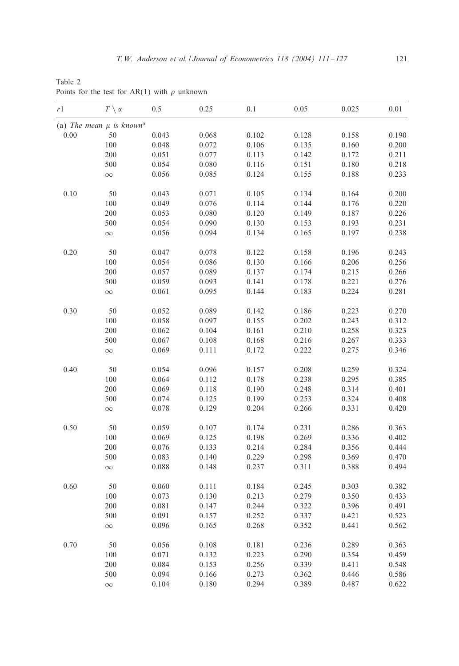<span id="page-10-0"></span>Table 2 Points for the test for AR(1) with  $\rho$  unknown

| r 1  | $T\,\,\backslash\, \,\alpha$             | 0.5   | 0.25  | 0.1   | 0.05  | 0.025 | 0.01  |
|------|------------------------------------------|-------|-------|-------|-------|-------|-------|
|      | (a) The mean $\mu$ is known <sup>a</sup> |       |       |       |       |       |       |
| 0.00 | 50                                       | 0.043 | 0.068 | 0.102 | 0.128 | 0.158 | 0.190 |
|      | $100\,$                                  | 0.048 | 0.072 | 0.106 | 0.135 | 0.160 | 0.200 |
|      | 200                                      | 0.051 | 0.077 | 0.113 | 0.142 | 0.172 | 0.211 |
|      | 500                                      | 0.054 | 0.080 | 0.116 | 0.151 | 0.180 | 0.218 |
|      | $\infty$                                 | 0.056 | 0.085 | 0.124 | 0.155 | 0.188 | 0.233 |
| 0.10 | 50                                       | 0.043 | 0.071 | 0.105 | 0.134 | 0.164 | 0.200 |
|      | 100                                      | 0.049 | 0.076 | 0.114 | 0.144 | 0.176 | 0.220 |
|      | 200                                      | 0.053 | 0.080 | 0.120 | 0.149 | 0.187 | 0.226 |
|      | 500                                      | 0.054 | 0.090 | 0.130 | 0.153 | 0.193 | 0.231 |
|      | $\infty$                                 | 0.056 | 0.094 | 0.134 | 0.165 | 0.197 | 0.238 |
| 0.20 | 50                                       | 0.047 | 0.078 | 0.122 | 0.158 | 0.196 | 0.243 |
|      | 100                                      | 0.054 | 0.086 | 0.130 | 0.166 | 0.206 | 0.256 |
|      | 200                                      | 0.057 | 0.089 | 0.137 | 0.174 | 0.215 | 0.266 |
|      | 500                                      | 0.059 | 0.093 | 0.141 | 0.178 | 0.221 | 0.276 |
|      | $\infty$                                 | 0.061 | 0.095 | 0.144 | 0.183 | 0.224 | 0.281 |
| 0.30 | 50                                       | 0.052 | 0.089 | 0.142 | 0.186 | 0.223 | 0.270 |
|      | 100                                      | 0.058 | 0.097 | 0.155 | 0.202 | 0.243 | 0.312 |
|      | 200                                      | 0.062 | 0.104 | 0.161 | 0.210 | 0.258 | 0.323 |
|      | 500                                      | 0.067 | 0.108 | 0.168 | 0.216 | 0.267 | 0.333 |
|      | $\infty$                                 | 0.069 | 0.111 | 0.172 | 0.222 | 0.275 | 0.346 |
| 0.40 | 50                                       | 0.054 | 0.096 | 0.157 | 0.208 | 0.259 | 0.324 |
|      | 100                                      | 0.064 | 0.112 | 0.178 | 0.238 | 0.295 | 0.385 |
|      | 200                                      | 0.069 | 0.118 | 0.190 | 0.248 | 0.314 | 0.401 |
|      | 500                                      | 0.074 | 0.125 | 0.199 | 0.253 | 0.324 | 0.408 |
|      | $\infty$                                 | 0.078 | 0.129 | 0.204 | 0.266 | 0.331 | 0.420 |
| 0.50 | 50                                       | 0.059 | 0.107 | 0.174 | 0.231 | 0.286 | 0.363 |
|      | 100                                      | 0.069 | 0.125 | 0.198 | 0.269 | 0.336 | 0.402 |
|      | 200                                      | 0.076 | 0.133 | 0.214 | 0.284 | 0.356 | 0.444 |
|      | 500                                      | 0.083 | 0.140 | 0.229 | 0.298 | 0.369 | 0.470 |
|      | $\infty$                                 | 0.088 | 0.148 | 0.237 | 0.311 | 0.388 | 0.494 |
| 0.60 | 50                                       | 0.060 | 0.111 | 0.184 | 0.245 | 0.303 | 0.382 |
|      | 100                                      | 0.073 | 0.130 | 0.213 | 0.279 | 0.350 | 0.433 |
|      | 200                                      | 0.081 | 0.147 | 0.244 | 0.322 | 0.396 | 0.491 |
|      | 500                                      | 0.091 | 0.157 | 0.252 | 0.337 | 0.421 | 0.523 |
|      | $\infty$                                 | 0.096 | 0.165 | 0.268 | 0.352 | 0.441 | 0.562 |
| 0.70 | 50                                       | 0.056 | 0.108 | 0.181 | 0.236 | 0.289 | 0.363 |
|      | $100\,$                                  | 0.071 | 0.132 | 0.223 | 0.290 | 0.354 | 0.459 |
|      | 200                                      | 0.084 | 0.153 | 0.256 | 0.339 | 0.411 | 0.548 |
|      | 500                                      | 0.094 | 0.166 | 0.273 | 0.362 | 0.446 | 0.586 |
|      | $\infty$                                 | 0.104 | 0.180 | 0.294 | 0.389 | 0.487 | 0.622 |
|      |                                          |       |       |       |       |       |       |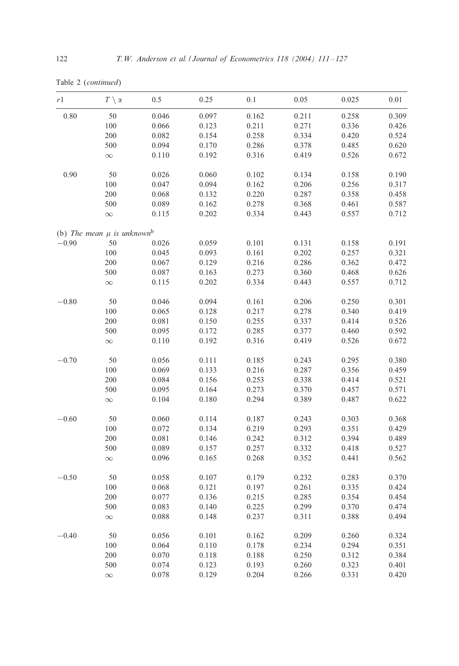|  |  | Table 2 (continued) |
|--|--|---------------------|
|--|--|---------------------|

| r1      | $T \setminus \alpha$                       | 0.5   | 0.25  | 0.1   | 0.05  | 0.025 | 0.01  |
|---------|--------------------------------------------|-------|-------|-------|-------|-------|-------|
| 0.80    | 50                                         | 0.046 | 0.097 | 0.162 | 0.211 | 0.258 | 0.309 |
|         | 100                                        | 0.066 | 0.123 | 0.211 | 0.271 | 0.336 | 0.426 |
|         | 200                                        | 0.082 | 0.154 | 0.258 | 0.334 | 0.420 | 0.524 |
|         | 500                                        | 0.094 | 0.170 | 0.286 | 0.378 | 0.485 | 0.620 |
|         | $\infty$                                   | 0.110 | 0.192 | 0.316 | 0.419 | 0.526 | 0.672 |
| 0.90    | 50                                         | 0.026 | 0.060 | 0.102 | 0.134 | 0.158 | 0.190 |
|         | 100                                        | 0.047 | 0.094 | 0.162 | 0.206 | 0.256 | 0.317 |
|         | 200                                        | 0.068 | 0.132 | 0.220 | 0.287 | 0.358 | 0.458 |
|         | 500                                        | 0.089 | 0.162 | 0.278 | 0.368 | 0.461 | 0.587 |
|         | $\infty$                                   | 0.115 | 0.202 | 0.334 | 0.443 | 0.557 | 0.712 |
|         | (b) The mean $\mu$ is unknown <sup>b</sup> |       |       |       |       |       |       |
| $-0.90$ | 50                                         | 0.026 | 0.059 | 0.101 | 0.131 | 0.158 | 0.191 |
|         | 100                                        | 0.045 | 0.093 | 0.161 | 0.202 | 0.257 | 0.321 |
|         | 200                                        | 0.067 | 0.129 | 0.216 | 0.286 | 0.362 | 0.472 |
|         | 500                                        | 0.087 | 0.163 | 0.273 | 0.360 | 0.468 | 0.626 |
|         | $\infty$                                   | 0.115 | 0.202 | 0.334 | 0.443 | 0.557 | 0.712 |
| $-0.80$ | 50                                         | 0.046 | 0.094 | 0.161 | 0.206 | 0.250 | 0.301 |
|         | 100                                        | 0.065 | 0.128 | 0.217 | 0.278 | 0.340 | 0.419 |
|         | 200                                        | 0.081 | 0.150 | 0.255 | 0.337 | 0.414 | 0.526 |
|         | 500                                        | 0.095 | 0.172 | 0.285 | 0.377 | 0.460 | 0.592 |
|         | $\infty$                                   | 0.110 | 0.192 | 0.316 | 0.419 | 0.526 | 0.672 |
| $-0.70$ | 50                                         | 0.056 | 0.111 | 0.185 | 0.243 | 0.295 | 0.380 |
|         | 100                                        | 0.069 | 0.133 | 0.216 | 0.287 | 0.356 | 0.459 |
|         | 200                                        | 0.084 | 0.156 | 0.253 | 0.338 | 0.414 | 0.521 |
|         | 500                                        | 0.095 | 0.164 | 0.273 | 0.370 | 0.457 | 0.571 |
|         | $\infty$                                   | 0.104 | 0.180 | 0.294 | 0.389 | 0.487 | 0.622 |
| $-0.60$ | 50                                         | 0.060 | 0.114 | 0.187 | 0.243 | 0.303 | 0.368 |
|         | $100\,$                                    | 0.072 | 0.134 | 0.219 | 0.293 | 0.351 | 0.429 |
|         | 200                                        | 0.081 | 0.146 | 0.242 | 0.312 | 0.394 | 0.489 |
|         | 500                                        | 0.089 | 0.157 | 0.257 | 0.332 | 0.418 | 0.527 |
|         | $\infty$                                   | 0.096 | 0.165 | 0.268 | 0.352 | 0.441 | 0.562 |
| $-0.50$ | 50                                         | 0.058 | 0.107 | 0.179 | 0.232 | 0.283 | 0.370 |
|         | 100                                        | 0.068 | 0.121 | 0.197 | 0.261 | 0.335 | 0.424 |
|         | 200                                        | 0.077 | 0.136 | 0.215 | 0.285 | 0.354 | 0.454 |
|         | 500                                        | 0.083 | 0.140 | 0.225 | 0.299 | 0.370 | 0.474 |
|         | $\infty$                                   | 0.088 | 0.148 | 0.237 | 0.311 | 0.388 | 0.494 |
| $-0.40$ | 50                                         | 0.056 | 0.101 | 0.162 | 0.209 | 0.260 | 0.324 |
|         | 100                                        | 0.064 | 0.110 | 0.178 | 0.234 | 0.294 | 0.351 |
|         | 200                                        | 0.070 | 0.118 | 0.188 | 0.250 | 0.312 | 0.384 |
|         | 500                                        | 0.074 | 0.123 | 0.193 | 0.260 | 0.323 | 0.401 |
|         | $\infty$                                   | 0.078 | 0.129 | 0.204 | 0.266 | 0.331 | 0.420 |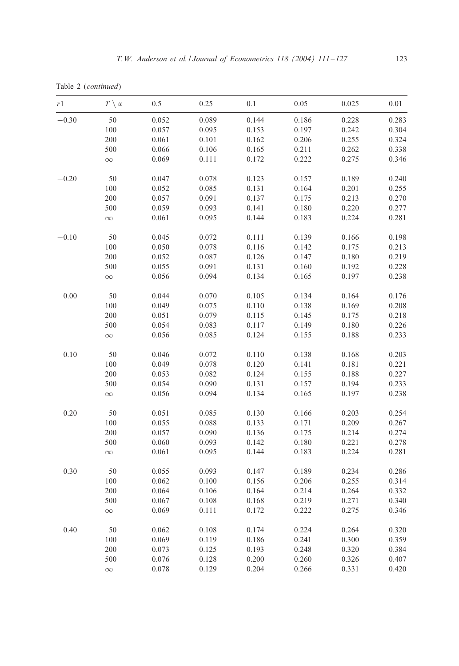Table 2 (*continued*)

| r1       | $T \setminus \alpha$ | 0.5   | 0.25  | $0.1\,$ | 0.05  | 0.025 | 0.01  |
|----------|----------------------|-------|-------|---------|-------|-------|-------|
| $-0.30$  | 50                   | 0.052 | 0.089 | 0.144   | 0.186 | 0.228 | 0.283 |
|          | 100                  | 0.057 | 0.095 | 0.153   | 0.197 | 0.242 | 0.304 |
|          | 200                  | 0.061 | 0.101 | 0.162   | 0.206 | 0.255 | 0.324 |
|          | 500                  | 0.066 | 0.106 | 0.165   | 0.211 | 0.262 | 0.338 |
|          | $\infty$             | 0.069 | 0.111 | 0.172   | 0.222 | 0.275 | 0.346 |
| $-0.20$  | 50                   | 0.047 | 0.078 | 0.123   | 0.157 | 0.189 | 0.240 |
|          | 100                  | 0.052 | 0.085 | 0.131   | 0.164 | 0.201 | 0.255 |
|          | 200                  | 0.057 | 0.091 | 0.137   | 0.175 | 0.213 | 0.270 |
|          | 500                  | 0.059 | 0.093 | 0.141   | 0.180 | 0.220 | 0.277 |
|          | $\infty$             | 0.061 | 0.095 | 0.144   | 0.183 | 0.224 | 0.281 |
| $-0.10$  | 50                   | 0.045 | 0.072 | 0.111   | 0.139 | 0.166 | 0.198 |
|          | 100                  | 0.050 | 0.078 | 0.116   | 0.142 | 0.175 | 0.213 |
|          | 200                  | 0.052 | 0.087 | 0.126   | 0.147 | 0.180 | 0.219 |
|          | 500                  | 0.055 | 0.091 | 0.131   | 0.160 | 0.192 | 0.228 |
|          | $\infty$             | 0.056 | 0.094 | 0.134   | 0.165 | 0.197 | 0.238 |
| 0.00     | 50                   | 0.044 | 0.070 | 0.105   | 0.134 | 0.164 | 0.176 |
|          | 100                  | 0.049 | 0.075 | 0.110   | 0.138 | 0.169 | 0.208 |
|          | 200                  | 0.051 | 0.079 | 0.115   | 0.145 | 0.175 | 0.218 |
|          | 500                  | 0.054 | 0.083 | 0.117   | 0.149 | 0.180 | 0.226 |
|          | $\infty$             | 0.056 | 0.085 | 0.124   | 0.155 | 0.188 | 0.233 |
| 0.10     | 50                   | 0.046 | 0.072 | 0.110   | 0.138 | 0.168 | 0.203 |
|          | 100                  | 0.049 | 0.078 | 0.120   | 0.141 | 0.181 | 0.221 |
|          | 200                  | 0.053 | 0.082 | 0.124   | 0.155 | 0.188 | 0.227 |
|          | 500                  | 0.054 | 0.090 | 0.131   | 0.157 | 0.194 | 0.233 |
|          | $\infty$             | 0.056 | 0.094 | 0.134   | 0.165 | 0.197 | 0.238 |
| $0.20\,$ | 50                   | 0.051 | 0.085 | 0.130   | 0.166 | 0.203 | 0.254 |
|          | 100                  | 0.055 | 0.088 | 0.133   | 0.171 | 0.209 | 0.267 |
|          | 200                  | 0.057 | 0.090 | 0.136   | 0.175 | 0.214 | 0.274 |
|          | 500                  | 0.060 | 0.093 | 0.142   | 0.180 | 0.221 | 0.278 |
|          | $\infty$             | 0.061 | 0.095 | 0.144   | 0.183 | 0.224 | 0.281 |
| 0.30     | 50                   | 0.055 | 0.093 | 0.147   | 0.189 | 0.234 | 0.286 |
|          | 100                  | 0.062 | 0.100 | 0.156   | 0.206 | 0.255 | 0.314 |
|          | 200                  | 0.064 | 0.106 | 0.164   | 0.214 | 0.264 | 0.332 |
|          | 500                  | 0.067 | 0.108 | 0.168   | 0.219 | 0.271 | 0.340 |
|          | $\infty$             | 0.069 | 0.111 | 0.172   | 0.222 | 0.275 | 0.346 |
| 0.40     | 50                   | 0.062 | 0.108 | 0.174   | 0.224 | 0.264 | 0.320 |
|          | 100                  | 0.069 | 0.119 | 0.186   | 0.241 | 0.300 | 0.359 |
|          | 200                  | 0.073 | 0.125 | 0.193   | 0.248 | 0.320 | 0.384 |
|          | 500                  | 0.076 | 0.128 | 0.200   | 0.260 | 0.326 | 0.407 |
|          | $\infty$             | 0.078 | 0.129 | 0.204   | 0.266 | 0.331 | 0.420 |
|          |                      |       |       |         |       |       |       |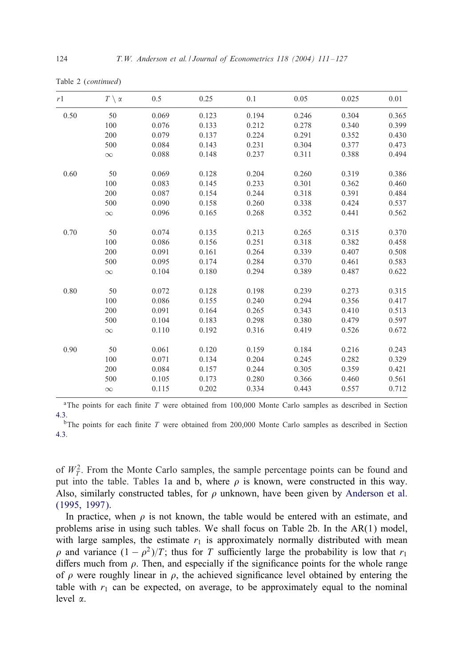Table 2 (*continued*)

| r1   | $T \setminus \alpha$ | 0.5   | 0.25  | 0.1   | 0.05  | 0.025 | 0.01  |
|------|----------------------|-------|-------|-------|-------|-------|-------|
| 0.50 | 50                   | 0.069 | 0.123 | 0.194 | 0.246 | 0.304 | 0.365 |
|      | 100                  | 0.076 | 0.133 | 0.212 | 0.278 | 0.340 | 0.399 |
|      | 200                  | 0.079 | 0.137 | 0.224 | 0.291 | 0.352 | 0.430 |
|      | 500                  | 0.084 | 0.143 | 0.231 | 0.304 | 0.377 | 0.473 |
|      | $\infty$             | 0.088 | 0.148 | 0.237 | 0.311 | 0.388 | 0.494 |
| 0.60 | 50                   | 0.069 | 0.128 | 0.204 | 0.260 | 0.319 | 0.386 |
|      | 100                  | 0.083 | 0.145 | 0.233 | 0.301 | 0.362 | 0.460 |
|      | 200                  | 0.087 | 0.154 | 0.244 | 0.318 | 0.391 | 0.484 |
|      | 500                  | 0.090 | 0.158 | 0.260 | 0.338 | 0.424 | 0.537 |
|      | $\infty$             | 0.096 | 0.165 | 0.268 | 0.352 | 0.441 | 0.562 |
| 0.70 | 50                   | 0.074 | 0.135 | 0.213 | 0.265 | 0.315 | 0.370 |
|      | 100                  | 0.086 | 0.156 | 0.251 | 0.318 | 0.382 | 0.458 |
|      | 200                  | 0.091 | 0.161 | 0.264 | 0.339 | 0.407 | 0.508 |
|      | 500                  | 0.095 | 0.174 | 0.284 | 0.370 | 0.461 | 0.583 |
|      | $\infty$             | 0.104 | 0.180 | 0.294 | 0.389 | 0.487 | 0.622 |
| 0.80 | 50                   | 0.072 | 0.128 | 0.198 | 0.239 | 0.273 | 0.315 |
|      | 100                  | 0.086 | 0.155 | 0.240 | 0.294 | 0.356 | 0.417 |
|      | 200                  | 0.091 | 0.164 | 0.265 | 0.343 | 0.410 | 0.513 |
|      | 500                  | 0.104 | 0.183 | 0.298 | 0.380 | 0.479 | 0.597 |
|      | $\infty$             | 0.110 | 0.192 | 0.316 | 0.419 | 0.526 | 0.672 |
| 0.90 | 50                   | 0.061 | 0.120 | 0.159 | 0.184 | 0.216 | 0.243 |
|      | 100                  | 0.071 | 0.134 | 0.204 | 0.245 | 0.282 | 0.329 |
|      | 200                  | 0.084 | 0.157 | 0.244 | 0.305 | 0.359 | 0.421 |
|      | 500                  | 0.105 | 0.173 | 0.280 | 0.366 | 0.460 | 0.561 |
|      | $\infty$             | 0.115 | 0.202 | 0.334 | 0.443 | 0.557 | 0.712 |
|      |                      |       |       |       |       |       |       |

<sup>a</sup>The points for each finite  $T$  were obtained from 100,000 Monte Carlo samples as described in Section 4.3.

<sup>b</sup>The points for each finite  $T$  [w](#page-5-0)ere obtained from 200,000 Monte Carlo samples as described in Section 4.3.

of  $W_T^2$ . From th[e](#page-10-0) Monte Carlo sam[p](#page-10-0)les, the sample percentage points can be found and put into the table. Tables 1a and b, where  $\rho$  is known, were constructed in this way. Also, similarly constructed tables, for  $\rho$  unknown, have been given by Anderson et al. (1995, 1997).

In practice, when  $\rho$  is not known, the table would be entered with an estimate, and problems arise in using such tables. We shall focus on Table 2b. In the AR(1) model, with large samples, the estimate  $r_1$  is approximately normally distributed with mean  $\rho$  and variance  $(1 - \rho^2)/T$ ; thus for T sufficiently large the probability is low that r<sub>1</sub> differs much from  $\rho$ . Then, and especially if the significance points for the whole range of  $\rho$  were roughly linear in  $\rho$ , the achieved significance level obtained by entering the table with  $r_1$  can be expected, on average, to be approximately equal to the nominal level  $\alpha$ .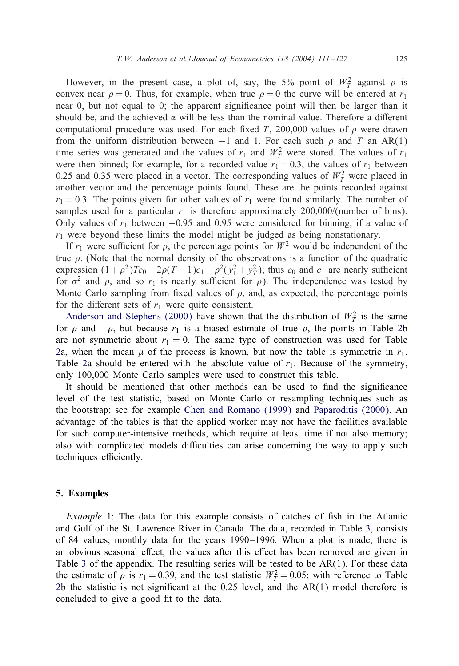However, in the present case, a plot of, say, the 5% point of  $W_T^2$  against  $\rho$  is convex near  $\rho = 0$ . Thus, for example, when true  $\rho = 0$  the curve will be entered at  $r_1$ near  $\theta$ , but not equal to  $\theta$ ; the apparent significance point will then be larger than it should be, and the achieved  $\alpha$  will be less than the nominal value. Therefore a different computational procedure was used. For each fixed T, 200,000 values of  $\rho$  were drawn from the uniform distribution between  $-1$  and 1. For each such  $\rho$  and T an AR(1) time series was generated and the values of  $r_1$  and  $W_T^2$  were stored. The values of  $r_1$ were then binned; for example, for a recorded value  $r_1 = 0.3$ , the values of  $r_1$  between 0.25 and 0.35 were placed in a vector. The corresponding values of  $W_T^2$  were placed in another vector and the percentage points found. These are the points recorded against  $r_1 = 0.3$ . The points given for other values of  $r_1$  were found similarly. The number of samples used for a particular  $r_1$  is therefore approximately 200,000/(number of bins). Only values of  $r_1$  between −0.95 and 0.95 were considered for binning; if a value of  $r_1$  were beyond these limits the model might be judged as being nonstationary.

If  $r_1$  were sufficient for  $\rho$ , the percentage points for  $W^2$  would be independent of the true  $\rho$ [. \(Note that the normal dens](#page-16-0)ity of the observations is a function of the quadratic expression  $(1+\rho^2)Tc_0 - 2\rho(T-1)c_1 - \rho^2(y_1^2 + y_1^2)$ ; thus  $c_0$  and  $c_1$  are nearly suffici[en](#page-10-0)t for  $\sigma^2$  and  $\rho$ , and so  $r_1$  is nearly sufficient for  $\rho$ ). The independence was tested by [M](#page-10-0)onte Carlo sampling from fixed values of  $\rho$ , and, as expected, the percentage points for th[e](#page-10-0) [d](#page-10-0)ifferent sets of  $r_1$  were quite consistent.

Anderson and Stephens (2000) have shown that the distribution of  $W_T^2$  is the same for  $\rho$  and  $-\rho$ , but because  $r_1$  is a biased estimate of true  $\rho$ , the points in Table 2b are not symmetric about  $r_1 = 0$ . The same type of construction was used for Table 2a, when the mean  $\mu$  of the p[rocess is known, but now t](#page-16-0)he t[able is symmetric in](#page-16-0)  $r_1$ . Table 2a should be entered with the absolute value of  $r_1$ . Because of the symmetry, only 100,000 Monte Carlo samples were used to construct this table.

It should be mentioned that other methods can be used to find the significance level of the test statistic, based on Monte Carlo or resampling techniques such as the bootstrap; see for example Chen and Romano (1999) and Paparoditis (2000). An advantage of the tables is that the applied worker may not have the facilities available for such computer-intensive methods, which require at least time if not also memory; also with complicated models difficulties can arise concerning the way to apply such techniques efficiently.

#### 5. Ex[am](#page-15-0)ples

*Example* 1: The data for this example consists of catches of fish in the Atlantic [an](#page-10-0)d Gulf of the St. Lawrence River in Canada. The data, recorded in Table 3, consists of 84 values, monthly data for the years 1990 –1996. When a plot is made, there is an obvious seasonal effect; the values after this effect has been removed are given in Table 3 of the appendix. The resulting series will be tested to be  $AR(1)$ . For these data the estimate of  $\rho$  is  $r_1 = 0.39$ , and the test statistic  $W_T^2 = 0.05$ ; with reference to Table 2b the statistic is not significant at the  $0.25$  level, and the  $AR(1)$  model therefore is concluded to give a good fit to the data.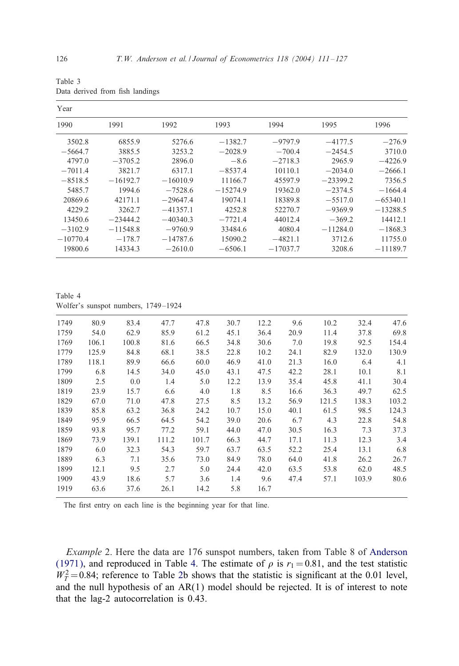| Table 3 |  |                                 |
|---------|--|---------------------------------|
|         |  | Data derived from fish landings |

| Year       |            |            |            |            |            |            |
|------------|------------|------------|------------|------------|------------|------------|
| 1990       | 1991       | 1992       | 1993       | 1994       | 1995       | 1996       |
| 3502.8     | 6855.9     | 5276.6     | $-1382.7$  | $-9797.9$  | $-4177.5$  | $-276.9$   |
| $-5664.7$  | 3885.5     | 3253.2     | $-2028.9$  | $-700.4$   | $-2454.5$  | 3710.0     |
| 4797.0     | $-3705.2$  | 2896.0     | $-8.6$     | $-2718.3$  | 2965.9     | $-4226.9$  |
| $-7011.4$  | 3821.7     | 6317.1     | $-8537.4$  | 10110.1    | $-2034.0$  | $-2666.1$  |
| $-8518.5$  | $-16192.7$ | $-16010.9$ | 11166.7    | 45597.9    | $-23399.2$ | 7356.5     |
| 5485.7     | 1994.6     | $-7528.6$  | $-15274.9$ | 19362.0    | $-2374.5$  | $-1664.4$  |
| 20869.6    | 42171.1    | $-29647.4$ | 19074.1    | 18389.8    | $-5517.0$  | $-65340.1$ |
| 4229.2     | 3262.7     | $-41357.1$ | 4252.8     | 52270.7    | $-9369.9$  | $-13288.5$ |
| 13450.6    | $-23444.2$ | $-40340.3$ | $-7721.4$  | 44012.4    | $-369.2$   | 14412.1    |
| $-3102.9$  | $-11548.8$ | $-9760.9$  | 33484.6    | 4080.4     | $-11284.0$ | $-1868.3$  |
| $-10770.4$ | $-178.7$   | $-14787.6$ | 15090.2    | $-4821.1$  | 3712.6     | 11755.0    |
| 19800.6    | 14334.3    | $-2610.0$  | $-6506.1$  | $-17037.7$ | 3208.6     | $-11189.7$ |

Table 4 Wolfer's sunspot numbers, 1749 –1924

| 1749 | 80.9  | 83.4  | 47.7  | 47.8  | 30.7 | 12.2 | 9.6  | 10.2  | 32.4  | 47.6  |
|------|-------|-------|-------|-------|------|------|------|-------|-------|-------|
| 1759 | 54.0  | 62.9  | 85.9  | 61.2  | 45.1 | 36.4 | 20.9 | 11.4  | 37.8  | 69.8  |
| 1769 | 106.1 | 100.8 | 81.6  | 66.5  | 34.8 | 30.6 | 7.0  | 19.8  | 92.5  | 154.4 |
| 1779 | 125.9 | 84.8  | 68.1  | 38.5  | 22.8 | 10.2 | 24.1 | 82.9  | 132.0 | 130.9 |
| 1789 | 118.1 | 89.9  | 66.6  | 60.0  | 46.9 | 41.0 | 21.3 | 16.0  | 6.4   | 4.1   |
| 1799 | 6.8   | 14.5  | 34.0  | 45.0  | 43.1 | 47.5 | 42.2 | 28.1  | 10.1  | 8.1   |
| 1809 | 2.5   | 0.0   | 1.4   | 5.0   | 12.2 | 13.9 | 35.4 | 45.8  | 41.1  | 30.4  |
| 1819 | 23.9  | 15.7  | 6.6   | 4.0   | 1.8  | 8.5  | 16.6 | 36.3  | 49.7  | 62.5  |
| 1829 | 67.0  | 71.0  | 47.8  | 27.5  | 8.5  | 13.2 | 56.9 | 121.5 | 138.3 | 103.2 |
| 1839 | 85.8  | 63.2  | 36.8  | 24.2  | 10.7 | 15.0 | 40.1 | 61.5  | 98.5  | 124.3 |
| 1849 | 95.9  | 66.5  | 64.5  | 54.2  | 39.0 | 20.6 | 6.7  | 4.3   | 22.8  | 54.8  |
| 1859 | 93.8  | 95.7  | 77.2  | 59.1  | 44.0 | 47.0 | 30.5 | 16.3  | 7.3   | 37.3  |
| 1869 | 73.9  | 139.1 | 111.2 | 101.7 | 66.3 | 44.7 | 17.1 | 11.3  | 12.3  | 3.4   |
| 1879 | 6.0   | 32.3  | 54.3  | 59.7  | 63.7 | 63.5 | 52.2 | 25.4  | 13.1  | 6.8   |
| 1889 | 6.3   | 7.1   | 35.6  | 73.0  | 84.9 | 78.0 | 64.0 | 41.8  | 26.2  | 26.7  |
| 1899 | 12.1  | 9.5   | 2.7   | 5.0   | 24.4 | 42.0 | 63.5 | 53.8  | 62.0  | 48.5  |
| 1909 | 43.9  | 18.6  | 5.7   | 3.6   | 1.4  | 9.6  | 47.4 | 57.1  | 103.9 | 80.6  |
| 1919 | 63.6  | 37.6  | 26.1  | 14.2  | 5.8  | 16.7 |      |       |       |       |

The first entry on each line is the beginning year for that line.

*Example* 2. Here the data are 176 sunspot numbers, taken from Table 8 of Anderson (1971), and reproduced in Table 4. The estimate of  $\rho$  is  $r_1 = 0.81$ , and the test statistic  $W_T^2 = 0.84$ ; reference to Table 2b shows that the statistic is significant at the 0.01 level, and the null hypothesis of an  $AR(1)$  model should be rejected. It is of interest to note that the lag-2 autocorrelation is 0.43.

<span id="page-15-0"></span>